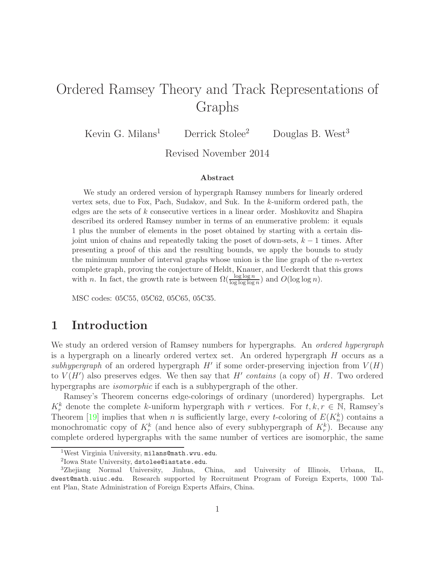# Ordered Ramsey Theory and Track Representations of Graphs

Kevin G. Milans<sup>1</sup> Derrick Stolee<sup>2</sup> Douglas B. West<sup>3</sup>

Revised November 2014

#### Abstract

We study an ordered version of hypergraph Ramsey numbers for linearly ordered vertex sets, due to Fox, Pach, Sudakov, and Suk. In the k-uniform ordered path, the edges are the sets of k consecutive vertices in a linear order. Moshkovitz and Shapira described its ordered Ramsey number in terms of an enumerative problem: it equals 1 plus the number of elements in the poset obtained by starting with a certain disjoint union of chains and repeatedly taking the poset of down-sets,  $k - 1$  times. After presenting a proof of this and the resulting bounds, we apply the bounds to study the minimum number of interval graphs whose union is the line graph of the  $n$ -vertex complete graph, proving the conjecture of Heldt, Knauer, and Ueckerdt that this grows with n. In fact, the growth rate is between  $\Omega(\frac{\log \log n}{\log \log \log n})$  and  $O(\log \log n)$ .

MSC codes: 05C55, 05C62, 05C65, 05C35.

## 1 Introduction

We study an ordered version of Ramsey numbers for hypergraphs. An *ordered hypergraph* is a hypergraph on a linearly ordered vertex set. An ordered hypergraph H occurs as a *subhypergraph* of an ordered hypergraph  $H'$  if some order-preserving injection from  $V(H)$ to  $V(H')$  also preserves edges. We then say that  $H'$  *contains* (a copy of)  $H$ . Two ordered hypergraphs are *isomorphic* if each is a subhypergraph of the other.

Ramsey's Theorem concerns edge-colorings of ordinary (unordered) hypergraphs. Let  $K_r^k$  denote the complete k-uniform hypergraph with r vertices. For  $t, k, r \in \mathbb{N}$ , Ramsey's Theorem [\[19\]](#page-8-0) implies that when *n* is sufficiently large, every *t*-coloring of  $E(K_n^k)$  contains a monochromatic copy of  $K_r^k$  (and hence also of every subhypergraph of  $K_r^k$ ). Because any complete ordered hypergraphs with the same number of vertices are isomorphic, the same

<sup>1</sup>West Virginia University, milans@math.wvu.edu.

<sup>2</sup> Iowa State University, dstolee@iastate.edu.

<sup>3</sup>Zhejiang Normal University, Jinhua, China, and University of Illinois, Urbana, IL, dwest@math.uiuc.edu. Research supported by Recruitment Program of Foreign Experts, 1000 Talent Plan, State Administration of Foreign Experts Affairs, China.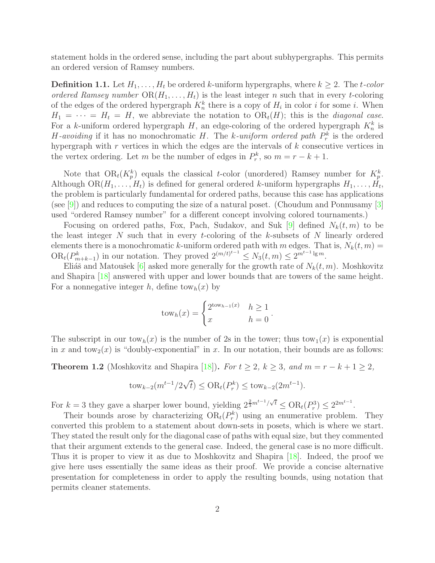statement holds in the ordered sense, including the part about subhypergraphs. This permits an ordered version of Ramsey numbers.

**Definition 1.1.** Let  $H_1, \ldots, H_t$  be ordered k-uniform hypergraphs, where  $k \geq 2$ . The t-color *ordered Ramsey number*  $OR(H_1, ..., H_t)$  is the least integer n such that in every t-coloring of the edges of the ordered hypergraph  $K_n^k$  there is a copy of  $H_i$  in color i for some i. When  $H_1 = \cdots = H_t = H$ , we abbreviate the notation to  $OR_t(H)$ ; this is the *diagonal case*. For a k-uniform ordered hypergraph  $H$ , an edge-coloring of the ordered hypergraph  $K_n^k$  is *H*-avoiding if it has no monochromatic *H*. The *k*-uniform ordered path  $P_r^k$  is the ordered hypergraph with  $r$  vertices in which the edges are the intervals of  $k$  consecutive vertices in the vertex ordering. Let m be the number of edges in  $P_r^k$ , so  $m = r - k + 1$ .

Note that  $OR_t(K_p^k)$  equals the classical t-color (unordered) Ramsey number for  $K_p^k$ . Although  $OR(H_1, ..., H_t)$  is defined for general ordered k-uniform hypergraphs  $H_1, ..., H_t$ , the problem is particularly fundamental for ordered paths, because this case has applications (see [\[9\]](#page-8-1)) and reduces to computing the size of a natural poset. (Choudum and Ponnusamy [\[3\]](#page-7-0) used "ordered Ramsey number" for a different concept involving colored tournaments.)

Focusing on ordered paths, Fox, Pach, Sudakov, and Suk [\[9\]](#page-8-1) defined  $N_k(t, m)$  to be the least integer  $N$  such that in every t-coloring of the  $k$ -subsets of  $N$  linearly ordered elements there is a monochromatic k-uniform ordered path with m edges. That is,  $N_k(t, m)$  =  $OR_t(P_{m+k-1}^k)$  in our notation. They proved  $2^{(m/t)^{t-1}} \leq N_3(t,m) \leq 2^{m^{t-1}\lg m}$ .

Eliáš and Matoušek [\[6\]](#page-7-1) asked more generally for the growth rate of  $N_k(t, m)$ . Moshkovitz and Shapira [\[18\]](#page-8-2) answered with upper and lower bounds that are towers of the same height. For a nonnegative integer h, define tow<sub>h</sub> $(x)$  by

$$
tow_h(x) = \begin{cases} 2^{tow_{h-1}(x)} & h \ge 1 \\ x & h = 0 \end{cases}.
$$

The subscript in our  $t \text{ow}_h(x)$  is the number of 2s in the tower; thus  $t \text{ow}_1(x)$  is exponential in x and tow<sub>2</sub>(x) is "doubly-exponential" in x. In our notation, their bounds are as follows:

<span id="page-1-0"></span>**Theorem 1.2** (Moshkovitz and Shapira [\[18\]](#page-8-2)). *For*  $t \geq 2$ ,  $k \geq 3$ , and  $m = r - k + 1 \geq 2$ ,

$$
tow_{k-2}(m^{t-1}/2\sqrt{t}) \le OR_t(P_r^k) \le tow_{k-2}(2m^{t-1}).
$$

For  $k = 3$  they gave a sharper lower bound, yielding  $2^{\frac{2}{3}m^{t-1}}/\sqrt{t} \le \text{OR}_{t}(P_{r}^{3}) \le 2^{2m^{t-1}}$ .

Their bounds arose by characterizing  $OR_t(P_r^k)$  using an enumerative problem. They converted this problem to a statement about down-sets in posets, which is where we start. They stated the result only for the diagonal case of paths with equal size, but they commented that their argument extends to the general case. Indeed, the general case is no more difficult. Thus it is proper to view it as due to Moshkovitz and Shapira [\[18\]](#page-8-2). Indeed, the proof we give here uses essentially the same ideas as their proof. We provide a concise alternative presentation for completeness in order to apply the resulting bounds, using notation that permits cleaner statements.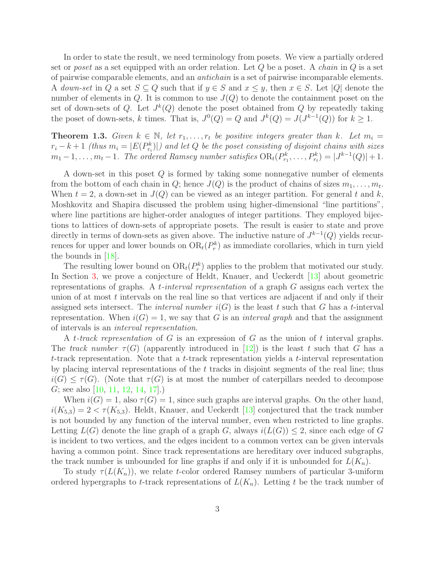In order to state the result, we need terminology from posets. We view a partially ordered set or *poset* as a set equipped with an order relation. Let Q be a poset. A *chain* in Q is a set of pairwise comparable elements, and an *antichain* is a set of pairwise incomparable elements. A *down-set* in Q a set  $S \subseteq Q$  such that if  $y \in S$  and  $x \leq y$ , then  $x \in S$ . Let |Q| denote the number of elements in  $Q$ . It is common to use  $J(Q)$  to denote the containment poset on the set of down-sets of Q. Let  $J^k(Q)$  denote the poset obtained from Q by repeatedly taking the poset of down-sets, k times. That is,  $J^0(Q) = Q$  and  $J^k(Q) = J(J^{k-1}(Q))$  for  $k \ge 1$ .

<span id="page-2-0"></span>**Theorem 1.3.** *Given*  $k \in \mathbb{N}$ , let  $r_1, \ldots, r_t$  be positive integers greater than k. Let  $m_i =$  $r_i - k + 1$  *(thus*  $m_i = |E(P_{r_i}^k)|$ *)* and let Q be the poset consisting of disjoint chains with sizes  $m_1-1,\ldots,m_t-1$ . The ordered Ramsey number satisfies  $OR_t(P_{r_1}^k,\ldots,P_{r_t}^k) = |J^{k-1}(Q)|+1$ .

A down-set in this poset Q is formed by taking some nonnegative number of elements from the bottom of each chain in Q; hence  $J(Q)$  is the product of chains of sizes  $m_1, \ldots, m_t$ . When  $t = 2$ , a down-set in  $J(Q)$  can be viewed as an integer partition. For general t and k, Moshkovitz and Shapira discussed the problem using higher-dimensional "line partitions", where line partitions are higher-order analogues of integer partitions. They employed bijections to lattices of down-sets of appropriate posets. The result is easier to state and prove directly in terms of down-sets as given above. The inductive nature of  $J^{k-1}(Q)$  yields recurrences for upper and lower bounds on  $OR_t(P_r^k)$  as immediate corollaries, which in turn yield the bounds in [\[18\]](#page-8-2).

The resulting lower bound on  $OR_t(P_r^k)$  applies to the problem that motivated our study. In Section [3,](#page-6-0) we prove a conjecture of Heldt, Knauer, and Ueckerdt [\[13\]](#page-8-3) about geometric representations of graphs. A t*-interval representation* of a graph G assigns each vertex the union of at most  $t$  intervals on the real line so that vertices are adjacent if and only if their assigned sets intersect. The *interval number*  $i(G)$  is the least t such that G has a t-interval representation. When  $i(G) = 1$ , we say that G is an *interval graph* and that the assignment of intervals is an *interval representation*.

A t*-track representation* of G is an expression of G as the union of t interval graphs. The *track number*  $\tau(G)$  (apparently introduced in [\[12\]](#page-8-4)) is the least t such that G has a  $t$ -track representation. Note that a  $t$ -track representation yields a  $t$ -interval representation by placing interval representations of the t tracks in disjoint segments of the real line; thus  $i(G) \leq \tau(G)$ . (Note that  $\tau(G)$  is at most the number of caterpillars needed to decompose G; see also [\[10,](#page-8-5) [11,](#page-8-6) [12,](#page-8-4) [14,](#page-8-7) [17\]](#page-8-8).)

When  $i(G) = 1$ , also  $\tau(G) = 1$ , since such graphs are interval graphs. On the other hand,  $i(K_{5,3}) = 2 < \tau(K_{5,3})$ . Heldt, Knauer, and Ueckerdt [\[13\]](#page-8-3) conjectured that the track number is not bounded by any function of the interval number, even when restricted to line graphs. Letting  $L(G)$  denote the line graph of a graph G, always  $i(L(G)) \leq 2$ , since each edge of G is incident to two vertices, and the edges incident to a common vertex can be given intervals having a common point. Since track representations are hereditary over induced subgraphs, the track number is unbounded for line graphs if and only if it is unbounded for  $L(K_n)$ .

To study  $\tau(L(K_n))$ , we relate t-color ordered Ramsey numbers of particular 3-uniform ordered hypergraphs to t-track representations of  $L(K_n)$ . Letting t be the track number of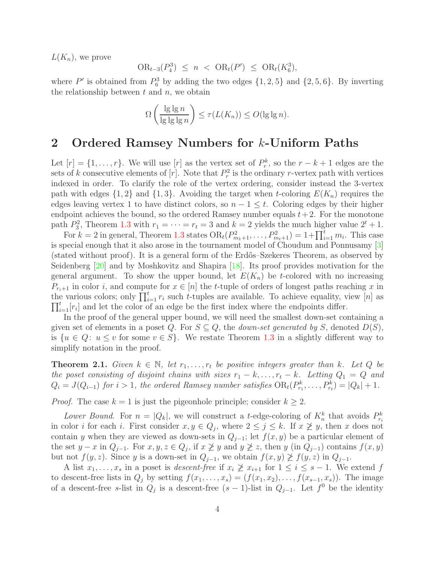$L(K_n)$ , we prove

$$
OR_{t-3}(P_4^3) \le n \ < \ OR_t(P') \ \le \ OR_t(K_6^3),
$$

where  $P'$  is obtained from  $P_6^3$  by adding the two edges  $\{1, 2, 5\}$  and  $\{2, 5, 6\}$ . By inverting the relationship between  $t$  and  $n$ , we obtain

$$
\Omega\left(\frac{\lg\lg n}{\lg\lg\lg n}\right) \leq \tau(L(K_n)) \leq O(\lg\lg n).
$$

#### 2 Ordered Ramsey Numbers for k-Uniform Paths

Let  $[r] = \{1, \ldots, r\}$ . We will use  $[r]$  as the vertex set of  $P_r^k$ , so the  $r - k + 1$  edges are the sets of k consecutive elements of  $[r]$ . Note that  $P_r^2$  is the ordinary r-vertex path with vertices indexed in order. To clarify the role of the vertex ordering, consider instead the 3-vertex path with edges  $\{1,2\}$  and  $\{1,3\}$ . Avoiding the target when t-coloring  $E(K_n)$  requires the edges leaving vertex 1 to have distinct colors, so  $n - 1 \leq t$ . Coloring edges by their higher endpoint achieves the bound, so the ordered Ramsey number equals  $t + 2$ . For the monotone path  $P_3^2$ , Theorem [1.3](#page-2-0) with  $r_1 = \cdots = r_t = 3$  and  $k = 2$  yields the much higher value  $2^t + 1$ .

For  $k = 2$  in general, Theorem [1.3](#page-2-0) states  $OR_t(P_{m_1+1}^2, \ldots, P_{m_t+1}^2) = 1 + \prod_{i=1}^t m_i$ . This case is special enough that it also arose in the tournament model of Choudum and Ponnusamy [\[3\]](#page-7-0) (stated without proof). It is a general form of the Erdős–Szekeres Theorem, as observed by Seidenberg [\[20\]](#page-8-9) and by Moshkovitz and Shapira [\[18\]](#page-8-2). Its proof provides motivation for the general argument. To show the upper bound, let  $E(K_n)$  be t-colored with no increasing  $P_{r_i+1}$  in color i, and compute for  $x \in [n]$  the t-tuple of orders of longest paths reaching x in the various colors; only  $\prod_{i=1}^{t} r_i$  such t-tuples are available. To achieve equality, view [n] as  $\prod_{i=1}^{t}[r_i]$  and let the color of an edge be the first index where the endpoints differ.

In the proof of the general upper bound, we will need the smallest down-set containing a given set of elements in a poset Q. For  $S \subseteq Q$ , the *down-set generated by* S, denoted  $D(S)$ , is  $\{u \in Q: u \le v \text{ for some } v \in S\}$ . We restate Theorem [1.3](#page-2-0) in a slightly different way to simplify notation in the proof.

<span id="page-3-0"></span>**Theorem 2.1.** *Given*  $k \in \mathbb{N}$ , *let*  $r_1, \ldots, r_t$  *be positive integers greater than*  $k$ *. Let*  $Q$  *be the poset consisting of disjoint chains with sizes*  $r_1 - k, \ldots, r_t - k$ *. Letting*  $Q_1 = Q$  *and*  $Q_i = J(Q_{i-1})$  for  $i > 1$ , the ordered Ramsey number satisfies  $OR_t(P_{r_1}^k, \ldots, P_{r_t}^k) = |Q_k| + 1$ .

*Proof.* The case  $k = 1$  is just the pigeonhole principle; consider  $k \geq 2$ .

Lower Bound. For  $n = |Q_k|$ , we will construct a t-edge-coloring of  $K_n^k$  that avoids  $P_{r_i}^k$ in color *i* for each *i*. First consider  $x, y \in Q_j$ , where  $2 \leq j \leq k$ . If  $x \not\geq y$ , then *x* does not contain y when they are viewed as down-sets in  $Q_{j-1}$ ; let  $f(x, y)$  be a particular element of the set  $y - x$  in  $Q_{j-1}$ . For  $x, y, z \in Q_j$ , if  $x \not\geq y$  and  $y \not\geq z$ , then  $y$  (in  $Q_{j-1}$ ) contains  $f(x, y)$ but not  $f(y, z)$ . Since y is a down-set in  $Q_{j-1}$ , we obtain  $f(x, y) \not\geq f(y, z)$  in  $Q_{j-1}$ .

A list  $x_1, \ldots, x_s$  in a poset is *descent-free* if  $x_i \not\geq x_{i+1}$  for  $1 \leq i \leq s-1$ . We extend f to descent-free lists in  $Q_j$  by setting  $f(x_1, \ldots, x_s) = (f(x_1, x_2), \ldots, f(x_{s-1}, x_s))$ . The image of a descent-free s-list in  $Q_j$  is a descent-free  $(s-1)$ -list in  $Q_{j-1}$ . Let  $f^0$  be the identity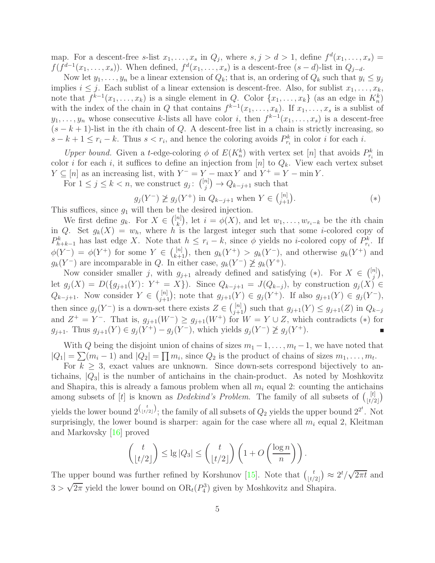map. For a descent-free s-list  $x_1, \ldots, x_s$  in  $Q_j$ , where  $s, j > d > 1$ , define  $f^d(x_1, \ldots, x_s)$  =  $f(f^{d-1}(x_1,\ldots,x_s))$ . When defined,  $f^d(x_1,\ldots,x_s)$  is a descent-free  $(s-d)$ -list in  $Q_{j-d}$ .

Now let  $y_1, \ldots, y_n$  be a linear extension of  $Q_k$ ; that is, an ordering of  $Q_k$  such that  $y_i \le y_j$ implies  $i \leq j$ . Each sublist of a linear extension is descent-free. Also, for sublist  $x_1, \ldots, x_k$ , note that  $f^{k-1}(x_1,\ldots,x_k)$  is a single element in Q. Color  $\{x_1,\ldots,x_k\}$  (as an edge in  $K_n^k$ ) with the index of the chain in Q that contains  $f^{k-1}(x_1,\ldots,x_k)$ . If  $x_1,\ldots,x_s$  is a sublist of  $y_1, \ldots, y_n$  whose consecutive k-lists all have color i, then  $f^{k-1}(x_1, \ldots, x_s)$  is a descent-free  $(s - k + 1)$ -list in the *i*th chain of Q. A descent-free list in a chain is strictly increasing, so  $s - k + 1 \leq r_i - k$ . Thus  $s < r_i$ , and hence the coloring avoids  $P_{r_i}^k$  in color i for each i.

*Upper bound.* Given a *t*-edge-coloring  $\phi$  of  $E(K_n^k)$  with vertex set [n] that avoids  $P_{r_i}^k$  in color i for each i, it suffices to define an injection from  $[n]$  to  $Q_k$ . View each vertex subset  $Y \subseteq [n]$  as an increasing list, with  $Y^- = Y - \max Y$  and  $Y^+ = Y - \min Y$ .

For  $1 \leq j \leq k < n$ , we construct  $g_j$ :  $\binom{[n]}{j}$  $j^{(n)}$   $\rightarrow$   $Q_{k-j+1}$  such that

$$
g_j(Y^-) \not\ge g_j(Y^+) \text{ in } Q_{k-j+1} \text{ when } Y \in \binom{[n]}{j+1}. \tag{*}
$$

This suffices, since  $g_1$  will then be the desired injection.

We first define  $g_k$ . For  $X \in \binom{[n]}{k}$  $\binom{n}{k}$ , let  $i = \phi(X)$ , and let  $w_1, \ldots, w_{r_i-k}$  be the *i*th chain in Q. Set  $g_k(X) = w_h$ , where h is the largest integer such that some i-colored copy of  $P_{h+k-1}^k$  has last edge X. Note that  $h \leq r_i - k$ , since  $\phi$  yields no *i*-colored copy of  $P_{r_i}^k$ . If  $\phi(Y^-) = \phi(Y^+)$  for some  $Y \in \binom{[n]}{k+1}$ , then  $g_k(Y^+) > g_k(Y^-)$ , and otherwise  $g_k(Y^+)$  and  $g_k(Y^-)$  are incomparable in Q. In either case,  $g_k(Y^-) \not\geq g_k(Y^+)$ .

Now consider smaller j, with  $g_{j+1}$  already defined and satisfying  $(*)$ . For  $X \in \binom{[n]}{j}$  $_{j}^{n] \big),$ let  $g_j(X) = D({g_{j+1}(Y): Y^+ = X}).$  Since  $Q_{k-j+1} = J(Q_{k-j}),$  by construction  $g_j(X) \in$  $Q_{k-j+1}$ . Now consider  $Y \in \binom{[n]}{j+1}$  $j_{j+1}^{[n]}$ ; note that  $g_{j+1}(Y) \in g_j(Y^+)$ . If also  $g_{j+1}(Y) \in g_j(Y^-)$ , then since  $g_j(Y^-)$  is a down-set there exists  $Z \in \binom{[n]}{j+1}$  such that  $g_{j+1}(Y) \leq g_{j+1}(Z)$  in  $Q_{k-j}$ and  $Z^+ = Y^-$ . That is,  $g_{j+1}(W^-) \ge g_{j+1}(W^+)$  for  $W = Y \cup Z$ , which contradicts (\*) for  $g_{j+1}$ . Thus  $g_{j+1}(Y) \in g_j(Y^+) - g_j(Y^-)$ , which yields  $g_j(Y^-) \not\geq g_j(Y^+)$ .

With Q being the disjoint union of chains of sizes  $m_1 - 1, \ldots, m_t - 1$ , we have noted that  $|Q_1| = \sum (m_i - 1)$  and  $|Q_2| = \prod m_i$ , since  $Q_2$  is the product of chains of sizes  $m_1, \ldots, m_t$ .

For  $k \geq 3$ , exact values are unknown. Since down-sets correspond bijectively to antichains,  $|Q_3|$  is the number of antichains in the chain-product. As noted by Moshkovitz and Shapira, this is already a famous problem when all  $m<sub>i</sub>$  equal 2: counting the antichains among subsets of [t] is known as *Dedekind's Problem*. The family of all subsets of  $\begin{bmatrix} t \end{bmatrix}$  $\begin{pmatrix} t \\ t/2 \end{pmatrix}$ yields the lower bound  $2^{\binom{t}{\lfloor t/2\rfloor}}$ ; the family of all subsets of  $Q_2$  yields the upper bound  $2^{2^t}$ . Not surprisingly, the lower bound is sharper: again for the case where all  $m_i$  equal 2, Kleitman and Markovsky [\[16\]](#page-8-10) proved

$$
\binom{t}{\lfloor t/2 \rfloor} \le \lg |Q_3| \le \binom{t}{\lfloor t/2 \rfloor} \left(1 + O\left(\frac{\log n}{n}\right)\right).
$$

The upper bound was further refined by Korshunov [\[15\]](#page-8-11). Note that  $\begin{pmatrix} t \\ t \end{pmatrix}$  $(t/2)$   $\approx$   $2t/\sqrt{2\pi t}$  and  $3 > \sqrt{2\pi}$  yield the lower bound on  $OR_t(P_4^3)$  given by Moshkovitz and Shapira.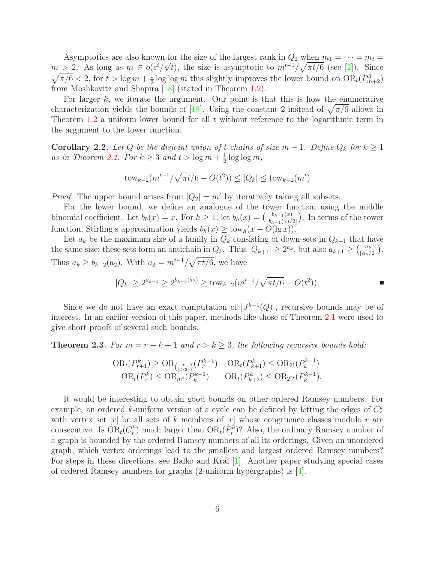Asymptotics are also known for the size of the largest rank in  $Q_2$  when  $m_1 = \cdots = m_t =$  $m > 2$ . As long as  $m \in o(e^t/\sqrt{t})$ , the size is asymptotic to  $m^{t-1}/\sqrt{\pi t/6}$  (see [\[2\]](#page-7-2)). Since  $\sqrt{\pi/6}$  < 2, for  $t > \log m + \frac{1}{2}$  $\frac{1}{2}$ log log *m* this slightly improves the lower bound on  $OR_t(P^3_{m+2})$ from Moshkovitz and Shapira [\[18\]](#page-8-2) (stated in Theorem [1.2\)](#page-1-0).

For larger  $k$ , we iterate the argument. Our point is that this is how the enumerative characterization yields the bounds of [\[18\]](#page-8-2). Using the constant 2 instead of  $\sqrt{\pi/6}$  allows in Theorem  $1.2$  a uniform lower bound for all  $t$  without reference to the logarithmic term in the argument to the tower function.

**Corollary 2.2.** Let Q be the disjoint union of t chains of size  $m-1$ . Define  $Q_k$  for  $k \geq 1$ as in Theorem [2.1.](#page-3-0) For  $k \geq 3$  and  $t > \log m + \frac{1}{2}$  $\frac{1}{2} \log \log m$ ,

$$
tow_{k-2}(m^{t-1}/\sqrt{\pi t/6} - O(t^2)) \le |Q_k| \le tow_{k-2}(m^t)
$$

*Proof.* The upper bound arises from  $|Q_2| = m^t$  by iteratively taking all subsets.

For the lower bound, we define an analogue of the tower function using the middle binomial coefficient. Let  $b_0(x) = x$ . For  $h \ge 1$ , let  $b_h(x) = \binom{b_{h-1}(x)}{\lfloor b_{h-1}(x) \rfloor}$  $\binom{b_{h-1}(x)}{\lfloor b_{h-1}(x)/2 \rfloor}$ . In terms of the tower function, Stirling's approximation yields  $b_h(x) \geq \text{tow}_h(x - O(\lg x)).$ 

Let  $a_k$  be the maximum size of a family in  $Q_k$  consisting of down-sets in  $Q_{k-1}$  that have the same size; these sets form an antichain in  $Q_k$ . Thus  $|Q_{k+1}| \geq 2^{a_k}$ , but also  $a_{k+1} \geq {a_k \choose \lfloor a_k \rfloor}$  $\begin{bmatrix} a_k \\ a_k/2 \end{bmatrix}$ . Thus  $a_k \ge b_{k-2}(a_2)$ . With  $a_2 = m^{t-1}/\sqrt{\pi t/6}$ , we have

$$
|Q_k| \ge 2^{a_{k-1}} \ge 2^{b_{k-3}(a_2)} \ge \text{tow}_{k-2}(m^{t-1}/\sqrt{\pi t/6} - O(t^2)).
$$

Since we do not have an exact computation of  $|J^{k-1}(Q)|$ , recursive bounds may be of interest. In an earlier version of this paper, methods like those of Theorem [2.1](#page-3-0) were used to give short proofs of several such bounds.

**Theorem 2.3.** *For*  $m = r - k + 1$  *and*  $r > k \geq 3$ *, the following recursive bounds hold:* 

$$
\text{OR}_{t}(P_{r+1}^{k}) \geq \text{OR}_{\binom{t}{\lfloor t/2 \rfloor}}(P_{r}^{k-1}) \quad \text{OR}_{t}(P_{k+1}^{k}) \leq \text{OR}_{2^{t}}(P_{k}^{k-1})
$$
\n
$$
\text{OR}_{t}(P_{r}^{k}) \leq \text{OR}_{m^{t}}(P_{k}^{k-1}) \quad \text{OR}_{t}(P_{k+2}^{k}) \leq \text{OR}_{2^{2t}}(P_{k}^{k-1}).
$$

It would be interesting to obtain good bounds on other ordered Ramsey numbers. For example, an ordered k-uniform version of a cycle can be defined by letting the edges of  $C_r^k$ with vertex set  $[r]$  be all sets of k members of  $[r]$  whose congruence classes modulo r are consecutive. Is  $OR_t(C_r^k)$  much larger than  $OR_t(P_r^k)$ ? Also, the ordinary Ramsey number of a graph is bounded by the ordered Ramsey numbers of all its orderings. Given an unordered graph, which vertex orderings lead to the smallest and largest ordered Ramsey numbers? For steps in these directions, see Balko and Král [\[1\]](#page-7-3). Another paper studying special cases of ordered Ramsey numbers for graphs (2-uniform hypergraphs) is [\[4\]](#page-7-4).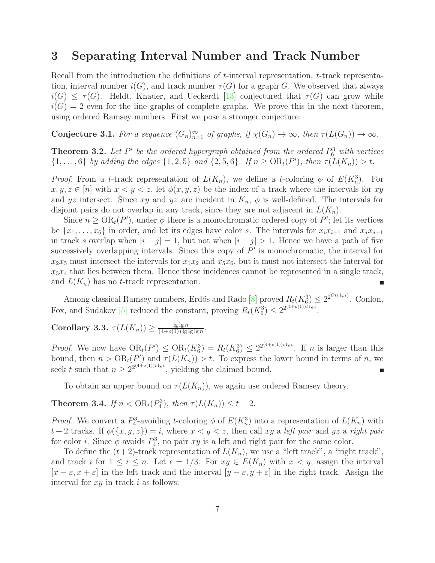### <span id="page-6-0"></span>3 Separating Interval Number and Track Number

Recall from the introduction the definitions of t-interval representation, t-track representation, interval number  $i(G)$ , and track number  $\tau(G)$  for a graph G. We observed that always  $i(G) \leq \tau(G)$ . Heldt, Knauer, and Ueckerdt [\[13\]](#page-8-3) conjectured that  $\tau(G)$  can grow while  $i(G) = 2$  even for the line graphs of complete graphs. We prove this in the next theorem, using ordered Ramsey numbers. First we pose a stronger conjecture:

**Conjecture 3.1.** For a sequence  $(G_n)_{n=1}^{\infty}$  of graphs, if  $\chi(G_n) \to \infty$ , then  $\tau(L(G_n)) \to \infty$ .

**Theorem 3.2.** Let  $P'$  be the ordered hypergraph obtained from the ordered  $P_6^3$  with vertices  $\{1, \ldots, 6\}$  *by adding the edges*  $\{1, 2, 5\}$  *and*  $\{2, 5, 6\}$ *. If*  $n \geq OR_t(P')$ *, then*  $\tau(L(K_n)) > t$ *.* 

*Proof.* From a t-track representation of  $L(K_n)$ , we define a t-coloring  $\phi$  of  $E(K_n^3)$ . For  $x, y, z \in [n]$  with  $x < y < z$ , let  $\phi(x, y, z)$  be the index of a track where the intervals for xy and yz intersect. Since xy and yz are incident in  $K_n$ ,  $\phi$  is well-defined. The intervals for disjoint pairs do not overlap in any track, since they are not adjacent in  $L(K_n)$ .

Since  $n \geq \text{OR}_{t}(P')$ , under  $\phi$  there is a monochromatic ordered copy of P'; let its vertices be  $\{x_1, \ldots, x_6\}$  in order, and let its edges have color s. The intervals for  $x_i x_{i+1}$  and  $x_j x_{j+1}$ in track s overlap when  $|i - j| = 1$ , but not when  $|i - j| > 1$ . Hence we have a path of five successively overlapping intervals. Since this copy of  $P'$  is monochromatic, the interval for  $x_2x_5$  must intersect the intervals for  $x_1x_2$  and  $x_5x_6$ , but it must not intersect the interval for  $x_3x_4$  that lies between them. Hence these incidences cannot be represented in a single track, and  $L(K_n)$  has no t-track representation. п

Among classical Ramsey numbers, Erdős and Rado [\[8\]](#page-8-12) proved  $R_t(K_0^3) \leq 2^{2^{O(t \lg t)}}$ . Conlon, Fox, and Sudakov [\[5\]](#page-7-5) reduced the constant, proving  $R_t(K_6^3) \leq 2^{2^{(4+o(1))t\lg t}}$ .

#### <span id="page-6-1"></span>Corollary 3.3.  $\tau(L(K_n)) \geq \frac{\lg \lg n}{(4+o(1)) \lg n}$  $\frac{\lg\lg n}{(4+o(1))\lg\lg\lg n}$

*Proof.* We now have  $OR_t(P') \leq OR_t(K_6^3) = R_t(K_6^3) \leq 2^{2^{(4+o(1))t \lg t}}$ . If n is larger than this bound, then  $n > \mathrm{OR}_t(P')$  and  $\tau(L(K_n)) > t$ . To express the lower bound in terms of n, we seek t such that  $n \geq 2^{2^{(4+o(1))t\lg t}}$ , yielding the claimed bound. Ė

To obtain an upper bound on  $\tau(L(K_n))$ , we again use ordered Ramsey theory.

**Theorem 3.4.** *If*  $n < \text{OR}_{t}(P_{4}^{3})$ , *then*  $\tau(L(K_{n})) \leq t + 2$ *.* 

*Proof.* We convert a  $P_4^3$ -avoiding t-coloring  $\phi$  of  $E(K_n^3)$  into a representation of  $L(K_n)$  with  $t + 2$  tracks. If  $\phi(\lbrace x, y, z \rbrace) = i$ , where  $x < y < z$ , then call xy a *left pair* and yz a *right pair* for color *i*. Since  $\phi$  avoids  $P_4^3$ , no pair xy is a left and right pair for the same color.

To define the  $(t+2)$ -track representation of  $L(K_n)$ , we use a "left track", a "right track", and track i for  $1 \leq i \leq n$ . Let  $\epsilon = 1/3$ . For  $xy \in E(K_n)$  with  $x < y$ , assign the interval  $[x - \varepsilon, x + \varepsilon]$  in the left track and the interval  $[y - \varepsilon, y + \varepsilon]$  in the right track. Assign the interval for  $xy$  in track i as follows: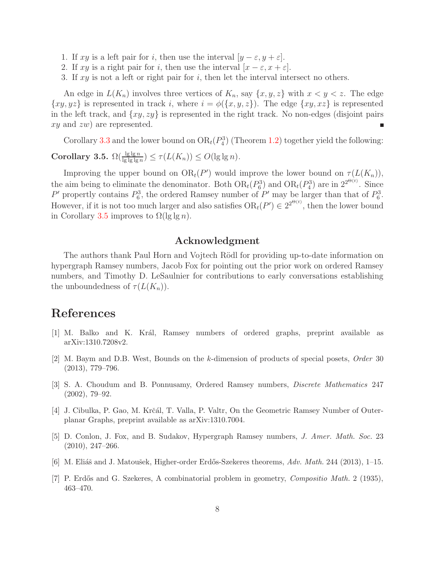- 1. If xy is a left pair for i, then use the interval  $[y \varepsilon, y + \varepsilon]$ .
- 2. If xy is a right pair for i, then use the interval  $[x \varepsilon, x + \varepsilon]$ .
- 3. If  $xy$  is not a left or right pair for i, then let the interval intersect no others.

An edge in  $L(K_n)$  involves three vertices of  $K_n$ , say  $\{x, y, z\}$  with  $x < y < z$ . The edge  $\{xy, yz\}$  is represented in track i, where  $i = \phi(\{x, y, z\})$ . The edge  $\{xy, xz\}$  is represented in the left track, and  $\{xy, zy\}$  is represented in the right track. No non-edges (disjoint pairs  $xy$  and  $zw$  are represented.

Corollary [3.3](#page-6-1) and the lower bound on  $OR_t(P_4^3)$  (Theorem [1.2\)](#page-1-0) together yield the following:

<span id="page-7-6"></span>Corollary 3.5.  $\Omega(\frac{\lg \lg n}{\lg \lg \lg n}) \leq \tau(L(K_n)) \leq O(\lg \lg n)$ .

Improving the upper bound on  $OR_t(P')$  would improve the lower bound on  $\tau(L(K_n)),$ the aim being to eliminate the denominator. Both  $OR_t(P_6^3)$  and  $OR_t(P_4^3)$  are in  $2^{2^{\Theta(t)}}$ . Since P' propertly contains  $P_6^3$ , the ordered Ramsey number of P' may be larger than that of  $P_6^3$ . However, if it is not too much larger and also satisfies  $OR_t(P') \in 2^{2^{\Theta(t)}}$ , then the lower bound in Corollary [3.5](#page-7-6) improves to  $\Omega(\lg \lg n)$ .

#### Acknowledgment

The authors thank Paul Horn and Vojtech Rödl for providing up-to-date information on hypergraph Ramsey numbers, Jacob Fox for pointing out the prior work on ordered Ramsey numbers, and Timothy D. LeSaulnier for contributions to early conversations establishing the unboundedness of  $\tau(L(K_n))$ .

## <span id="page-7-3"></span>References

- <span id="page-7-2"></span>[1] M. Balko and K. Kr´al, Ramsey numbers of ordered graphs, preprint available as arXiv:1310.7208v2.
- [2] M. Baym and D.B. West, Bounds on the k-dimension of products of special posets, Order 30 (2013), 779–796.
- <span id="page-7-0"></span>[3] S. A. Choudum and B. Ponnusamy, Ordered Ramsey numbers, Discrete Mathematics 247 (2002), 79–92.
- <span id="page-7-4"></span>[4] J. Cibulka, P. Gao, M. Krčál, T. Valla, P. Valtr, On the Geometric Ramsey Number of Outerplanar Graphs, preprint available as arXiv:1310.7004.
- <span id="page-7-5"></span>[5] D. Conlon, J. Fox, and B. Sudakov, Hypergraph Ramsey numbers, J. Amer. Math. Soc. 23 (2010), 247–266.
- <span id="page-7-1"></span>[6] M. Eliáš and J. Matoušek, Higher-order Erdős-Szekeres theorems, Adv. Math. 244 (2013), 1–15.
- [7] P. Erdős and G. Szekeres, A combinatorial problem in geometry, *Compositio Math.* 2 (1935), 463–470.